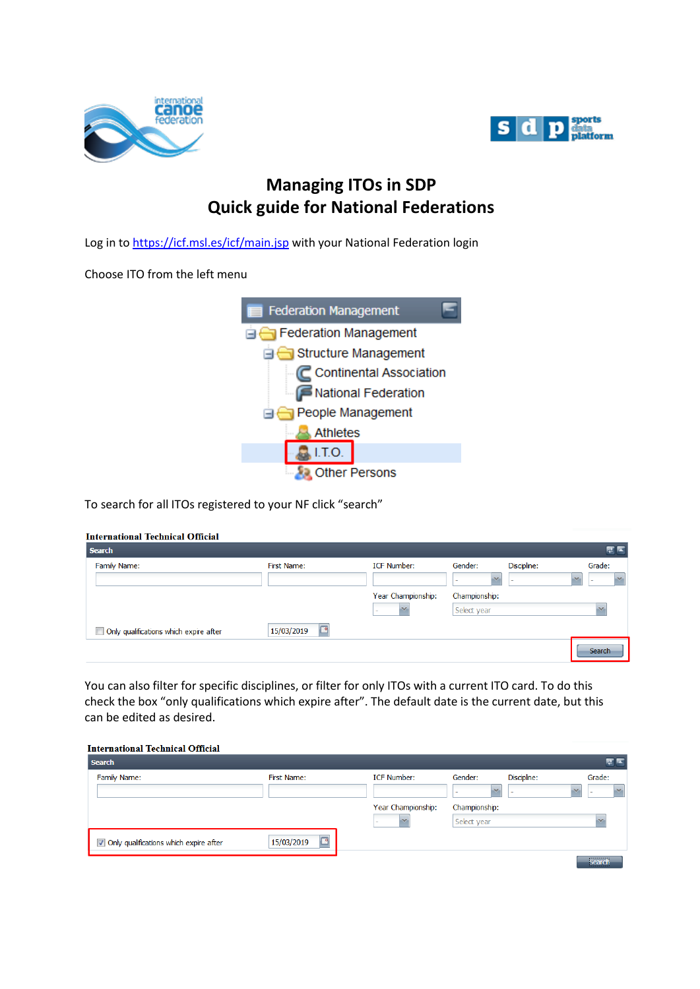



## **Managing ITOs in SDP Quick guide for National Federations**

Log in to<https://icf.msl.es/icf/main.jsp> with your National Federation login

Choose ITO from the left menu



To search for all ITOs registered to your NF click "search"

| <b>International Technical Official</b> |  |
|-----------------------------------------|--|
|                                         |  |

| <b>Search</b>                          |                 |                    |                                   |                                         | ¢                                                   |
|----------------------------------------|-----------------|--------------------|-----------------------------------|-----------------------------------------|-----------------------------------------------------|
| Family Name:                           | First Name:     | <b>ICF Number:</b> | Gender:<br>$\mathbf{v}$<br>$\sim$ | Discipline:<br>$\overline{\phantom{a}}$ | Grade:<br>$\mathcal{N}$<br>$\overline{\phantom{a}}$ |
|                                        |                 | Year Championship: | Championship:                     |                                         |                                                     |
|                                        |                 | $\mathbf{v}$       | Select year                       |                                         |                                                     |
| Only qualifications which expire after | 15/03/2019<br>× |                    |                                   |                                         |                                                     |
|                                        |                 |                    |                                   |                                         | Search                                              |

You can also filter for specific disciplines, or filter for only ITOs with a current ITO card. To do this check the box "only qualifications which expire after". The default date is the current date, but this can be edited as desired.

|  | <b>International Technical Official</b> |  |  |
|--|-----------------------------------------|--|--|
|--|-----------------------------------------|--|--|

| <b>Search</b>                          |                        |                    |                   |             | 老区                |
|----------------------------------------|------------------------|--------------------|-------------------|-------------|-------------------|
| Family Name:                           | First Name:            | <b>ICF Number:</b> | Gender:           | Discipline: | Grade:            |
|                                        |                        |                    | $\mathbf{v}$<br>- |             | $\mathbf{v}$<br>- |
|                                        |                        | Year Championship: | Championship:     |             |                   |
|                                        |                        |                    | Select year       |             |                   |
| Only qualifications which expire after | 15/03/2019<br>$\alpha$ |                    |                   |             |                   |
|                                        |                        |                    |                   |             | <b>Coarch</b>     |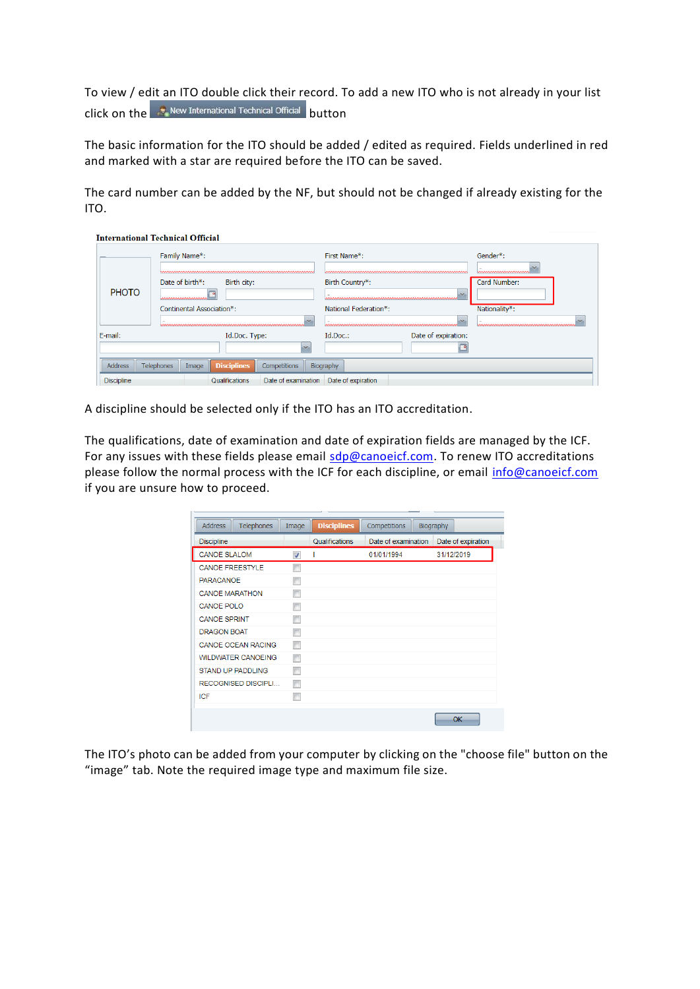To view / edit an ITO double click their record. To add a new ITO who is not already in your list  $\left| \text{click on the}\right|\right|$  New International Technical Official  $\left| \text{birth}\right|$ 

The basic information for the ITO should be added / edited as required. Fields underlined in red and marked with a star are required before the ITO can be saved.

The card number can be added by the NF, but should not be changed if already existing for the ITO.

|                   | <b>International Technical Official</b>                          |                                                   |                                                   |
|-------------------|------------------------------------------------------------------|---------------------------------------------------|---------------------------------------------------|
|                   | Family Name*:                                                    | First Name*:                                      | Gender*:                                          |
| <b>PHOTO</b>      | Date of birth*:<br>Birth city:<br>a<br><u>www.www.www.www</u>    | Birth Country*:<br>$\sim$                         | <u>MMMMMMMMMMMM</u><br>Card Number:               |
|                   | Continental Association*:                                        | National Federation*:<br>$\overline{\phantom{a}}$ | Nationality*:<br>~~~~~~~~~~~~~~~~~~~~~~~~~~~~~~~~ |
| E-mail:           | Id.Doc. Type:<br>$\overline{\phantom{a}}$                        | Date of expiration:<br>Id.Doc.:                   |                                                   |
| Address           | <b>Disciplines</b><br><b>Telephones</b><br>Competitions<br>Image | Biography                                         |                                                   |
| <b>Discipline</b> | Qualifications<br>Date of examination                            | Date of expiration                                |                                                   |

A discipline should be selected only if the ITO has an ITO accreditation.

The qualifications, date of examination and date of expiration fields are managed by the ICF. For any issues with these fields please email [sdp@canoeicf.com.](mailto:sdp@canoeicf.com) To renew ITO accreditations please follow the normal process with the ICF for each discipline, or email [info@canoeicf.com](mailto:info@canoeicf.com) if you are unsure how to proceed.

| <b>Address</b><br><b>Telephones</b> | Image                   | <b>Disciplines</b> | Competitions        | <b>Biography</b>   |
|-------------------------------------|-------------------------|--------------------|---------------------|--------------------|
| <b>Discipline</b>                   |                         | Qualifications     | Date of examination | Date of expiration |
| <b>CANOE SLALOM</b>                 | $\overline{\mathsf{v}}$ |                    | 01/01/1994          | 31/12/2019         |
| <b>CANOE FREESTYLE</b>              | п                       |                    |                     |                    |
| <b>PARACANOE</b>                    | г                       |                    |                     |                    |
| <b>CANOE MARATHON</b>               |                         |                    |                     |                    |
| <b>CANOE POLO</b>                   | m                       |                    |                     |                    |
| <b>CANOE SPRINT</b>                 |                         |                    |                     |                    |
| <b>DRAGON BOAT</b>                  |                         |                    |                     |                    |
| <b>CANOE OCEAN RACING</b>           |                         |                    |                     |                    |
| <b>WILDWATER CANOEING</b>           | П                       |                    |                     |                    |
| <b>STAND UP PADDLING</b>            |                         |                    |                     |                    |
| <b>RECOGNISED DISCIPLI</b>          |                         |                    |                     |                    |
| ICF                                 |                         |                    |                     |                    |
|                                     |                         |                    |                     | OK                 |

The ITO's photo can be added from your computer by clicking on the "choose file" button on the "image" tab. Note the required image type and maximum file size.